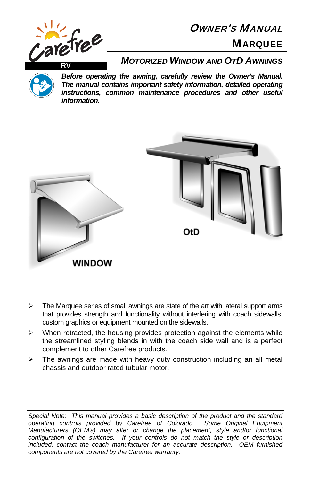

# OWNER'S MANUAL

## **MAROUEE**



*Before operating the awning, carefully review the Owner's Manual. The manual contains important safety information, detailed operating instructions, common maintenance procedures and other useful information.*



- $\triangleright$  The Marquee series of small awnings are state of the art with lateral support arms that provides strength and functionality without interfering with coach sidewalls, custom graphics or equipment mounted on the sidewalls.
- $\triangleright$  When retracted, the housing provides protection against the elements while the streamlined styling blends in with the coach side wall and is a perfect complement to other Carefree products.
- $\triangleright$  The awnings are made with heavy duty construction including an all metal chassis and outdoor rated tubular motor.

*Special Note: This manual provides a basic description of the product and the standard operating controls provided by Carefree of Colorado. Some Original Equipment Manufacturers (OEM's) may alter or change the placement, style and/or functional configuration of the switches. If your controls do not match the style or description included, contact the coach manufacturer for an accurate description. OEM furnished components are not covered by the Carefree warranty.*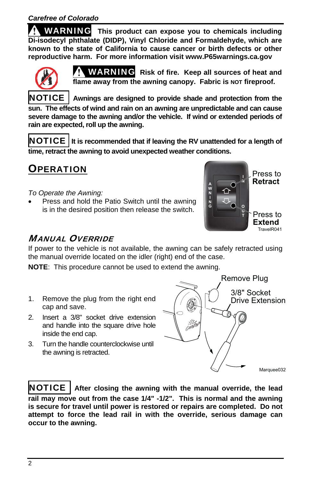WARNING **This product can expose you to chemicals including Di-isodecyl phthalate (DIDP), Vinyl Chloride and Formaldehyde, which are known to the state of California to cause cancer or birth defects or other reproductive harm. For more information visit www.P65warnings.ca.gov** 



WARNING **Risk of fire. Keep all sources of heat and**  flame away from the awning canopy. Fabric is NOT fireproof.

NOTICE **Awnings are designed to provide shade and protection from the sun. The effects of wind and rain on an awning are unpredictable and can cause severe damage to the awning and/or the vehicle. If wind or extended periods of rain are expected, roll up the awning.**

NOTICE **It is recommended that if leaving the RV unattended for a length of time, retract the awning to avoid unexpected weather conditions.** 

**OPERATION** 

*To Operate the Awning:* 

 Press and hold the Patio Switch until the awning is in the desired position then release the switch.



## MANUAL OVERRIDE

If power to the vehicle is not available, the awning can be safely retracted using the manual override located on the idler (right) end of the case.

**NOTE**: This procedure cannot be used to extend the awning.

- 1. Remove the plug from the right end cap and save.
- 2. Insert a 3/8" socket drive extension and handle into the square drive hole inside the end cap.
- 3. Turn the handle counterclockwise until the awning is retracted.



NOTICE **After closing the awning with the manual override, the lead rail may move out from the case 1/4" -1/2". This is normal and the awning is secure for travel until power is restored or repairs are completed. Do not attempt to force the lead rail in with the override, serious damage can occur to the awning.**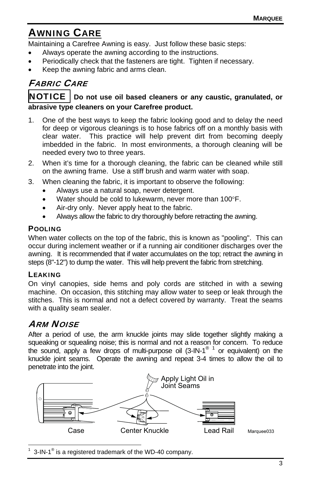## AWNING CARE

Maintaining a Carefree Awning is easy. Just follow these basic steps:

- Always operate the awning according to the instructions.
- Periodically check that the fasteners are tight. Tighten if necessary.
- Keep the awning fabric and arms clean.

## FABRIC CARE

### NOTICE **Do not use oil based cleaners or any caustic, granulated, or abrasive type cleaners on your Carefree product.**

- 1. One of the best ways to keep the fabric looking good and to delay the need for deep or vigorous cleanings is to hose fabrics off on a monthly basis with clear water. This practice will help prevent dirt from becoming deeply imbedded in the fabric. In most environments, a thorough cleaning will be needed every two to three years.
- 2. When it's time for a thorough cleaning, the fabric can be cleaned while still on the awning frame. Use a stiff brush and warm water with soap.
- 3. When cleaning the fabric, it is important to observe the following:
	- Always use a natural soap, never detergent.
	- Water should be cold to lukewarm, never more than 100°F.
	- Air-dry only. Never apply heat to the fabric.
	- Always allow the fabric to dry thoroughly before retracting the awning.

#### POOLING

When water collects on the top of the fabric, this is known as "pooling". This can occur during inclement weather or if a running air conditioner discharges over the awning. It is recommended that if water accumulates on the top; retract the awning in steps (8"-12") to dump the water. This will help prevent the fabric from stretching.

#### LEAKING

On vinyl canopies, side hems and poly cords are stitched in with a sewing machine. On occasion, this stitching may allow water to seep or leak through the stitches. This is normal and not a defect covered by warranty. Treat the seams with a quality seam sealer.

## ARM NOISE

After a period of use, the arm knuckle joints may slide together slightly making a squeaking or squealing noise; this is normal and not a reason for concern. To reduce the sound, apply a few drops of multi-purpose oil (3-IN-1<sup>® 1</sup> or equivalent) on the knuckle joint seams. Operate the awning and repeat 3-4 times to allow the oil to penetrate into the joint.



 $\overline{a}$ 1 3-IN-1<sup>®</sup> is a registered trademark of the WD-40 company.